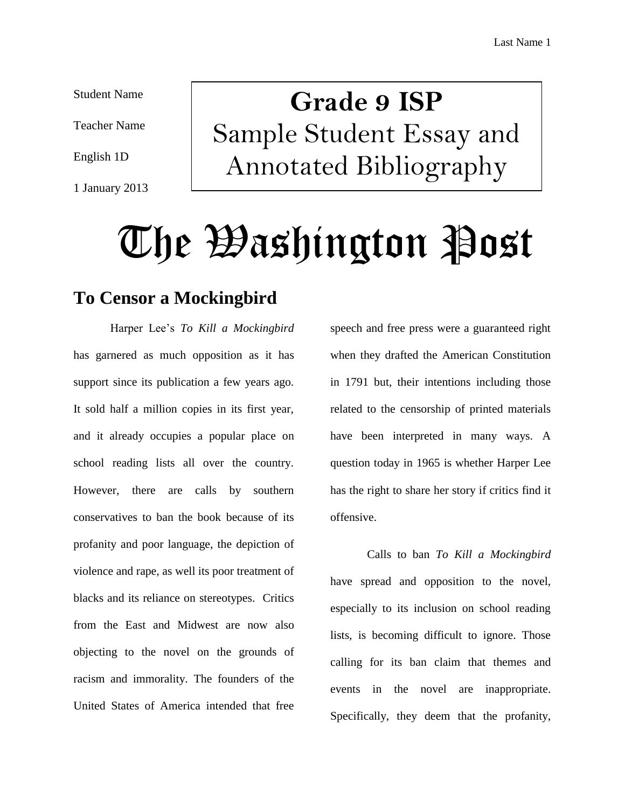Student Name

Teacher Name

English 1D

1 January 2013

## **Grade 9 ISP** Sample Student Essay and Annotated Bibliography

# The Washington Post

## **To Censor a Mockingbird**

Harper Lee's *To Kill a Mockingbird* has garnered as much opposition as it has support since its publication a few years ago. It sold half a million copies in its first year, and it already occupies a popular place on school reading lists all over the country. However, there are calls by southern conservatives to ban the book because of its profanity and poor language, the depiction of violence and rape, as well its poor treatment of blacks and its reliance on stereotypes. Critics from the East and Midwest are now also objecting to the novel on the grounds of racism and immorality. The founders of the United States of America intended that free

speech and free press were a guaranteed right when they drafted the American Constitution in 1791 but, their intentions including those related to the censorship of printed materials have been interpreted in many ways. A question today in 1965 is whether Harper Lee has the right to share her story if critics find it offensive.

Calls to ban *To Kill a Mockingbird* have spread and opposition to the novel, especially to its inclusion on school reading lists, is becoming difficult to ignore. Those calling for its ban claim that themes and events in the novel are inappropriate. Specifically, they deem that the profanity,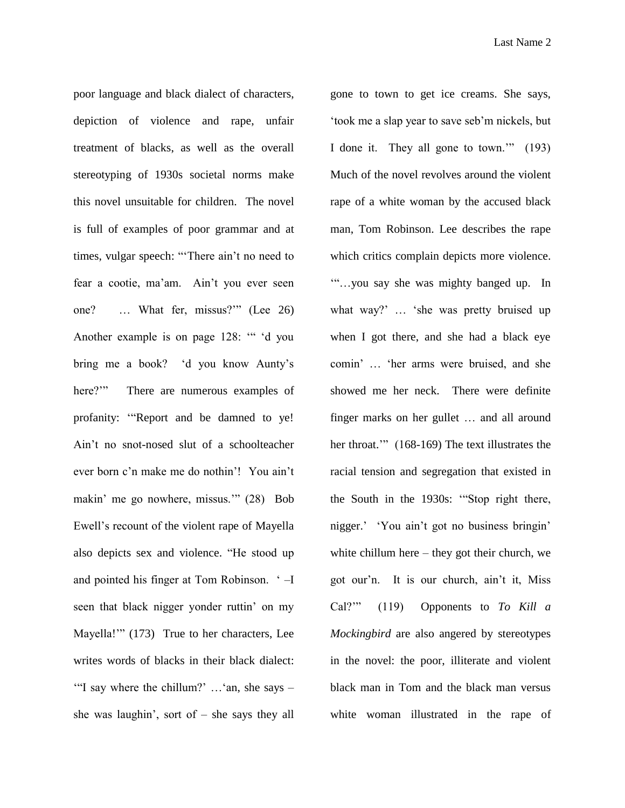poor language and black dialect of characters, depiction of violence and rape, unfair treatment of blacks, as well as the overall stereotyping of 1930s societal norms make this novel unsuitable for children. The novel is full of examples of poor grammar and at times, vulgar speech: "'There ain't no need to fear a cootie, ma'am. Ain't you ever seen one? … What fer, missus?'" (Lee 26) Another example is on page 128: '" 'd you bring me a book? 'd you know Aunty's here?"" There are numerous examples of profanity: '"Report and be damned to ye! Ain't no snot-nosed slut of a schoolteacher ever born c'n make me do nothin'! You ain't makin' me go nowhere, missus.'" (28) Bob Ewell's recount of the violent rape of Mayella also depicts sex and violence. "He stood up and pointed his finger at Tom Robinson. ' –I seen that black nigger yonder ruttin' on my Mayella!'" (173) True to her characters, Lee writes words of blacks in their black dialect: '"I say where the chillum?' …'an, she says – she was laughin', sort of  $-$  she says they all

gone to town to get ice creams. She says, 'took me a slap year to save seb'm nickels, but I done it. They all gone to town.'" (193) Much of the novel revolves around the violent rape of a white woman by the accused black man, Tom Robinson. Lee describes the rape which critics complain depicts more violence. '"…you say she was mighty banged up. In what way?' … 'she was pretty bruised up when I got there, and she had a black eye comin' … 'her arms were bruised, and she showed me her neck. There were definite finger marks on her gullet … and all around her throat.'" (168-169) The text illustrates the racial tension and segregation that existed in the South in the 1930s: '"Stop right there, nigger.' 'You ain't got no business bringin' white chillum here – they got their church, we got our'n. It is our church, ain't it, Miss Cal?'" (119) Opponents to *To Kill a Mockingbird* are also angered by stereotypes in the novel: the poor, illiterate and violent black man in Tom and the black man versus white woman illustrated in the rape of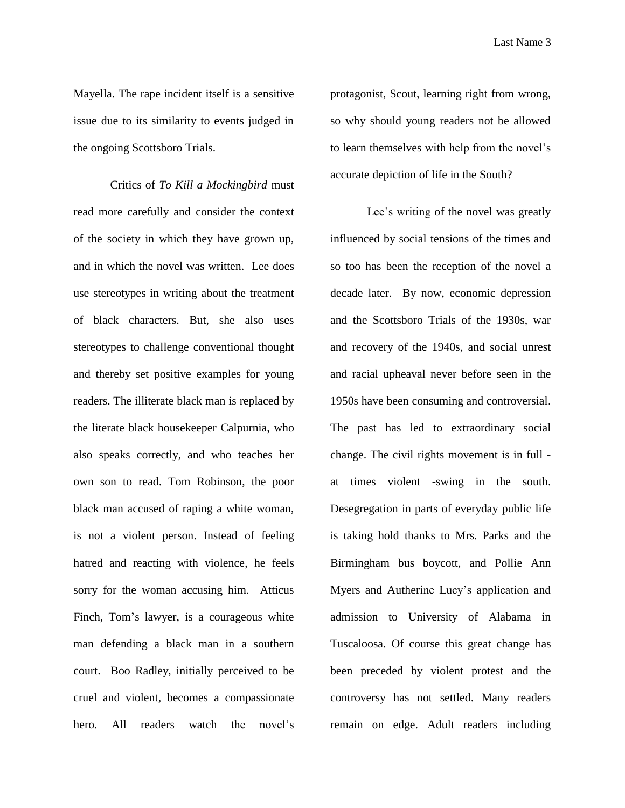Mayella. The rape incident itself is a sensitive issue due to its similarity to events judged in the ongoing Scottsboro Trials.

Critics of *To Kill a Mockingbird* must read more carefully and consider the context of the society in which they have grown up, and in which the novel was written. Lee does use stereotypes in writing about the treatment of black characters. But, she also uses stereotypes to challenge conventional thought and thereby set positive examples for young readers. The illiterate black man is replaced by the literate black housekeeper Calpurnia, who also speaks correctly, and who teaches her own son to read. Tom Robinson, the poor black man accused of raping a white woman, is not a violent person. Instead of feeling hatred and reacting with violence, he feels sorry for the woman accusing him. Atticus Finch, Tom's lawyer, is a courageous white man defending a black man in a southern court. Boo Radley, initially perceived to be cruel and violent, becomes a compassionate hero. All readers watch the novel's

protagonist, Scout, learning right from wrong, so why should young readers not be allowed to learn themselves with help from the novel's accurate depiction of life in the South?

Lee's writing of the novel was greatly influenced by social tensions of the times and so too has been the reception of the novel a decade later. By now, economic depression and the Scottsboro Trials of the 1930s, war and recovery of the 1940s, and social unrest and racial upheaval never before seen in the 1950s have been consuming and controversial. The past has led to extraordinary social change. The civil rights movement is in full at times violent -swing in the south. Desegregation in parts of everyday public life is taking hold thanks to Mrs. Parks and the Birmingham bus boycott, and Pollie Ann Myers and Autherine Lucy's application and admission to University of Alabama in Tuscaloosa. Of course this great change has been preceded by violent protest and the controversy has not settled. Many readers remain on edge. Adult readers including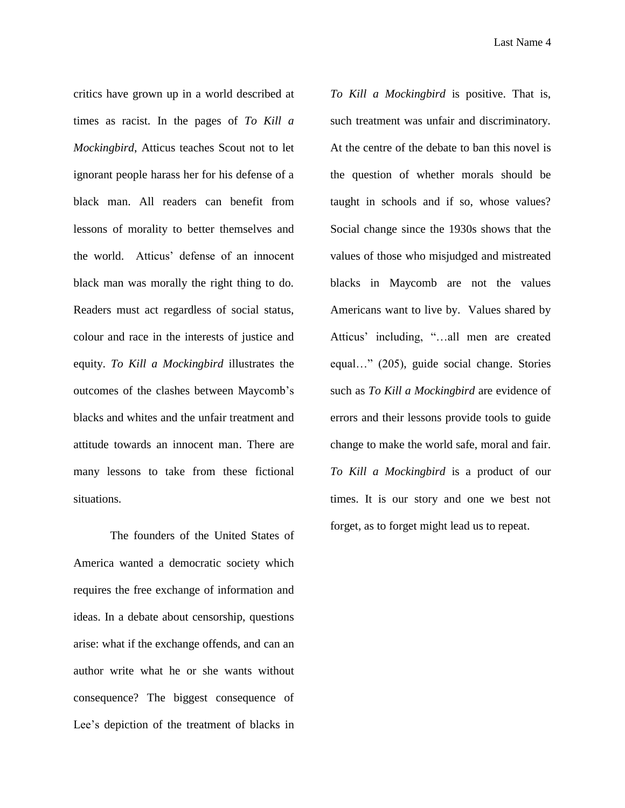critics have grown up in a world described at times as racist. In the pages of *To Kill a Mockingbird*, Atticus teaches Scout not to let ignorant people harass her for his defense of a black man. All readers can benefit from lessons of morality to better themselves and the world. Atticus' defense of an innocent black man was morally the right thing to do. Readers must act regardless of social status, colour and race in the interests of justice and equity. *To Kill a Mockingbird* illustrates the outcomes of the clashes between Maycomb's blacks and whites and the unfair treatment and attitude towards an innocent man. There are many lessons to take from these fictional situations.

The founders of the United States of America wanted a democratic society which requires the free exchange of information and ideas. In a debate about censorship, questions arise: what if the exchange offends, and can an author write what he or she wants without consequence? The biggest consequence of Lee's depiction of the treatment of blacks in

*To Kill a Mockingbird* is positive. That is, such treatment was unfair and discriminatory. At the centre of the debate to ban this novel is the question of whether morals should be taught in schools and if so, whose values? Social change since the 1930s shows that the values of those who misjudged and mistreated blacks in Maycomb are not the values Americans want to live by. Values shared by Atticus' including, "…all men are created equal…" (205), guide social change. Stories such as *To Kill a Mockingbird* are evidence of errors and their lessons provide tools to guide change to make the world safe, moral and fair. *To Kill a Mockingbird* is a product of our times. It is our story and one we best not forget, as to forget might lead us to repeat.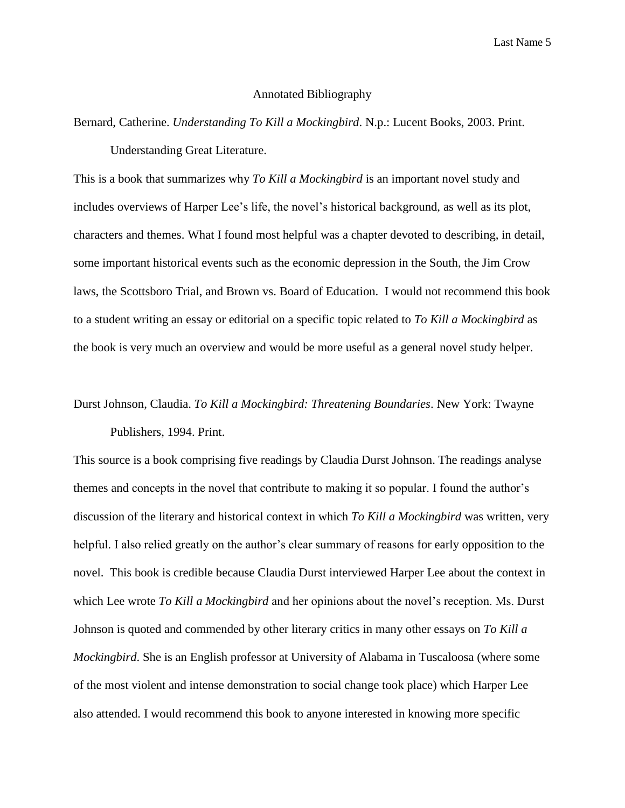Last Name 5

#### Annotated Bibliography

Bernard, Catherine. *Understanding To Kill a Mockingbird*. N.p.: Lucent Books, 2003. Print. Understanding Great Literature.

This is a book that summarizes why *To Kill a Mockingbird* is an important novel study and includes overviews of Harper Lee's life, the novel's historical background, as well as its plot, characters and themes. What I found most helpful was a chapter devoted to describing, in detail, some important historical events such as the economic depression in the South, the Jim Crow laws, the Scottsboro Trial, and Brown vs. Board of Education. I would not recommend this book to a student writing an essay or editorial on a specific topic related to *To Kill a Mockingbird* as the book is very much an overview and would be more useful as a general novel study helper.

## Durst Johnson, Claudia. *To Kill a Mockingbird: Threatening Boundaries*. New York: Twayne Publishers, 1994. Print.

This source is a book comprising five readings by Claudia Durst Johnson. The readings analyse themes and concepts in the novel that contribute to making it so popular. I found the author's discussion of the literary and historical context in which *To Kill a Mockingbird* was written, very helpful. I also relied greatly on the author's clear summary of reasons for early opposition to the novel. This book is credible because Claudia Durst interviewed Harper Lee about the context in which Lee wrote *To Kill a Mockingbird* and her opinions about the novel's reception. Ms. Durst Johnson is quoted and commended by other literary critics in many other essays on *To Kill a Mockingbird*. She is an English professor at University of Alabama in Tuscaloosa (where some of the most violent and intense demonstration to social change took place) which Harper Lee also attended. I would recommend this book to anyone interested in knowing more specific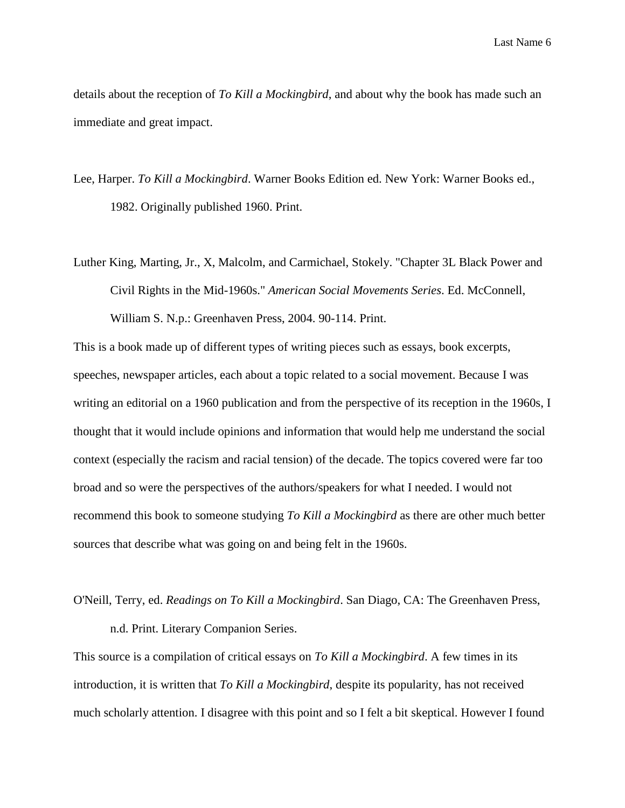details about the reception of *To Kill a Mockingbird*, and about why the book has made such an immediate and great impact.

- Lee, Harper. *To Kill a Mockingbird*. Warner Books Edition ed. New York: Warner Books ed., 1982. Originally published 1960. Print.
- Luther King, Marting, Jr., X, Malcolm, and Carmichael, Stokely. "Chapter 3L Black Power and Civil Rights in the Mid-1960s." *American Social Movements Series*. Ed. McConnell, William S. N.p.: Greenhaven Press, 2004. 90-114. Print.

This is a book made up of different types of writing pieces such as essays, book excerpts, speeches, newspaper articles, each about a topic related to a social movement. Because I was writing an editorial on a 1960 publication and from the perspective of its reception in the 1960s, I thought that it would include opinions and information that would help me understand the social context (especially the racism and racial tension) of the decade. The topics covered were far too broad and so were the perspectives of the authors/speakers for what I needed. I would not recommend this book to someone studying *To Kill a Mockingbird* as there are other much better sources that describe what was going on and being felt in the 1960s.

### O'Neill, Terry, ed. *Readings on To Kill a Mockingbird*. San Diago, CA: The Greenhaven Press, n.d. Print. Literary Companion Series.

This source is a compilation of critical essays on *To Kill a Mockingbird*. A few times in its introduction, it is written that *To Kill a Mockingbird*, despite its popularity, has not received much scholarly attention. I disagree with this point and so I felt a bit skeptical. However I found